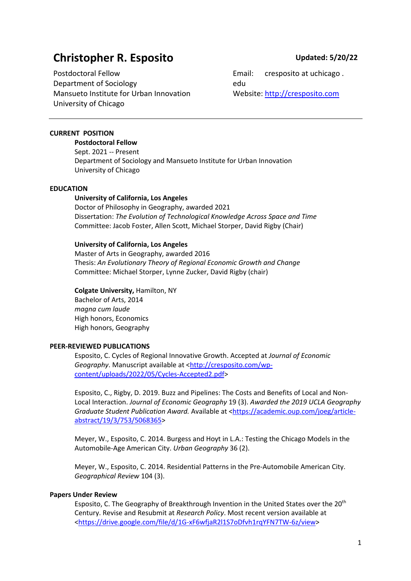# **Christopher R. Esposito Updated: 5/20/22**

Postdoctoral Fellow Department of Sociology Mansueto Institute for Urban Innovation University of Chicago

Email: cresposito at uchicago . edu Website: http://cresposito.com

# **CURRENT POSITION**

**Postdoctoral Fellow** Sept. 2021 -- Present Department of Sociology and Mansueto Institute for Urban Innovation University of Chicago

#### **EDUCATION**

# **University of California, Los Angeles**

Doctor of Philosophy in Geography, awarded 2021 Dissertation: *The Evolution of Technological Knowledge Across Space and Time* Committee: Jacob Foster, Allen Scott, Michael Storper, David Rigby (Chair)

# **University of California, Los Angeles**

Master of Arts in Geography, awarded 2016 Thesis: *An Evolutionary Theory of Regional Economic Growth and Change* Committee: Michael Storper, Lynne Zucker, David Rigby (chair)

# **Colgate University,** Hamilton, NY

Bachelor of Arts, 2014 *magna cum laude*  High honors, Economics High honors, Geography

#### **PEER-REVIEWED PUBLICATIONS**

Esposito, C. Cycles of Regional Innovative Growth. Accepted at *Journal of Economic Geography*. Manuscript available at <http://cresposito.com/wpcontent/uploads/2022/05/Cycles-Accepted2.pdf>

Esposito, C., Rigby, D. 2019. Buzz and Pipelines: The Costs and Benefits of Local and Non-Local Interaction. *Journal of Economic Geography* 19 (3). *Awarded the 2019 UCLA Geography Graduate Student Publication Award.* Available at <https://academic.oup.com/joeg/articleabstract/19/3/753/5068365>

Meyer, W., Esposito, C. 2014. Burgess and Hoyt in L.A.: Testing the Chicago Models in the Automobile-Age American City. *Urban Geography* 36 (2).

Meyer, W., Esposito, C. 2014. Residential Patterns in the Pre-Automobile American City. *Geographical Review* 104 (3).

# **Papers Under Review**

Esposito, C. The Geography of Breakthrough Invention in the United States over the 20<sup>th</sup> Century. Revise and Resubmit at *Research Policy*. Most recent version available at <https://drive.google.com/file/d/1G-xF6wfjaR2l1S7oDfvh1rqYFN7TW-6z/view>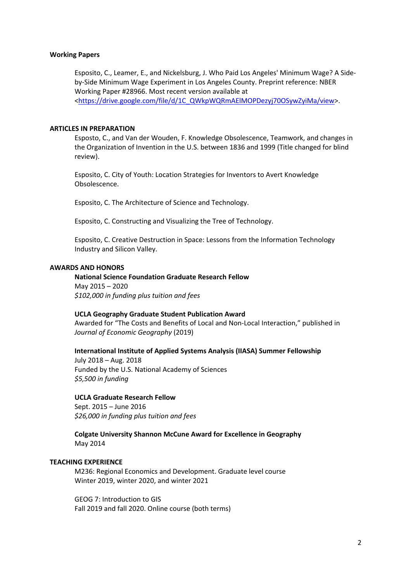#### **Working Papers**

Esposito, C., Leamer, E., and Nickelsburg, J. Who Paid Los Angeles' Minimum Wage? A Sideby-Side Minimum Wage Experiment in Los Angeles County. Preprint reference: NBER Working Paper #28966. Most recent version available at <https://drive.google.com/file/d/1C\_QWkpWQRmAElMOPDezyj70OSywZyiMa/view>.

#### **ARTICLES IN PREPARATION**

Esposto, C., and Van der Wouden, F. Knowledge Obsolescence, Teamwork, and changes in the Organization of Invention in the U.S. between 1836 and 1999 (Title changed for blind review).

Esposito, C. City of Youth: Location Strategies for Inventors to Avert Knowledge Obsolescence.

Esposito, C. The Architecture of Science and Technology.

Esposito, C. Constructing and Visualizing the Tree of Technology.

Esposito, C. Creative Destruction in Space: Lessons from the Information Technology Industry and Silicon Valley.

#### **AWARDS AND HONORS**

**National Science Foundation Graduate Research Fellow** May 2015 – 2020 *\$102,000 in funding plus tuition and fees*

#### **UCLA Geography Graduate Student Publication Award**

Awarded for "The Costs and Benefits of Local and Non-Local Interaction," published in *Journal of Economic Geography* (2019)

# **International Institute of Applied Systems Analysis (IIASA) Summer Fellowship**

July 2018 – Aug. 2018 Funded by the U.S. National Academy of Sciences *\$5,500 in funding*

#### **UCLA Graduate Research Fellow**

Sept. 2015 – June 2016 *\$26,000 in funding plus tuition and fees*

**Colgate University Shannon McCune Award for Excellence in Geography** May 2014

#### **TEACHING EXPERIENCE**

M236: Regional Economics and Development. Graduate level course Winter 2019, winter 2020, and winter 2021

GEOG 7: Introduction to GIS Fall 2019 and fall 2020. Online course (both terms)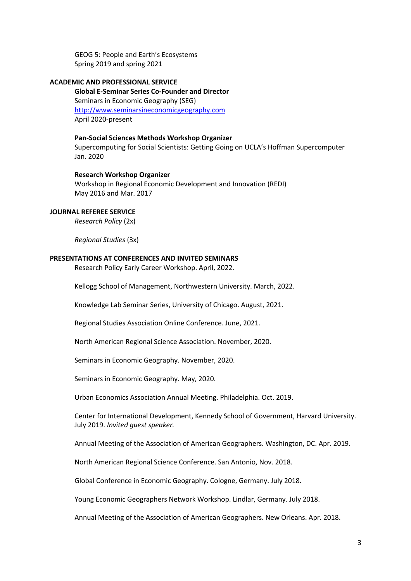GEOG 5: People and Earth's Ecosystems Spring 2019 and spring 2021

#### **ACADEMIC AND PROFESSIONAL SERVICE**

**Global E-Seminar Series Co-Founder and Director** Seminars in Economic Geography (SEG) http://www.seminarsineconomicgeography.com April 2020-present

**Pan-Social Sciences Methods Workshop Organizer** Supercomputing for Social Scientists: Getting Going on UCLA's Hoffman Supercomputer Jan. 2020

**Research Workshop Organizer** Workshop in Regional Economic Development and Innovation (REDI) May 2016 and Mar. 2017

#### **JOURNAL REFEREE SERVICE**

*Research Policy* (2x)

*Regional Studies* (3x)

#### **PRESENTATIONS AT CONFERENCES AND INVITED SEMINARS**

Research Policy Early Career Workshop. April, 2022.

Kellogg School of Management, Northwestern University. March, 2022.

Knowledge Lab Seminar Series, University of Chicago. August, 2021.

Regional Studies Association Online Conference. June, 2021.

North American Regional Science Association. November, 2020.

Seminars in Economic Geography. November, 2020.

Seminars in Economic Geography. May, 2020.

Urban Economics Association Annual Meeting. Philadelphia. Oct. 2019.

Center for International Development, Kennedy School of Government, Harvard University. July 2019. *Invited guest speaker.*

Annual Meeting of the Association of American Geographers. Washington, DC. Apr. 2019.

North American Regional Science Conference. San Antonio, Nov. 2018.

Global Conference in Economic Geography. Cologne, Germany. July 2018.

Young Economic Geographers Network Workshop. Lindlar, Germany. July 2018.

Annual Meeting of the Association of American Geographers. New Orleans. Apr. 2018.